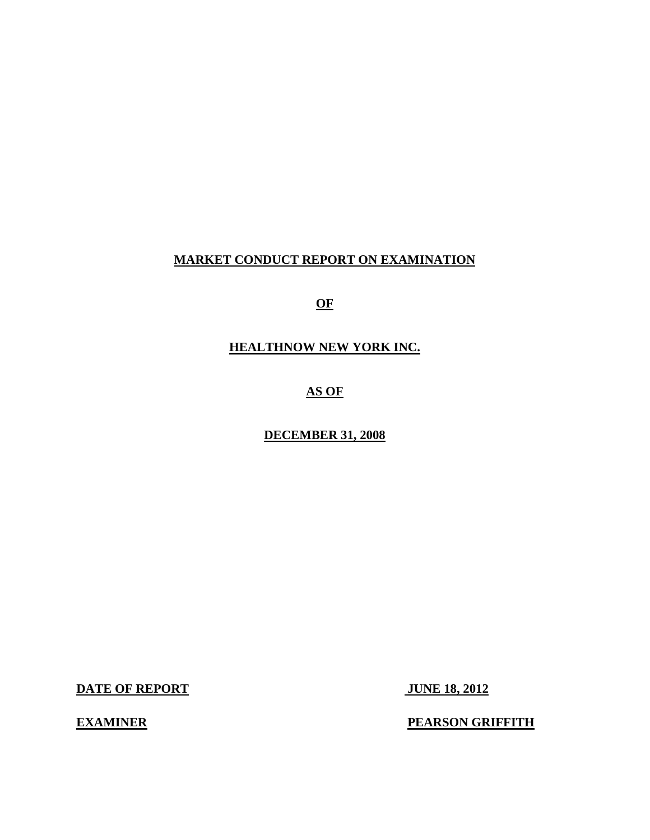## **MARKET CONDUCT REPORT ON EXAMINATION**

**OF** 

**HEALTHNOW NEW YORK INC.** 

**AS OF** 

**DECEMBER 31, 2008** 

**DATE OF REPORT JUNE 18, 2012** 

**EXAMINER** 

**PEARSON GRIFFITH**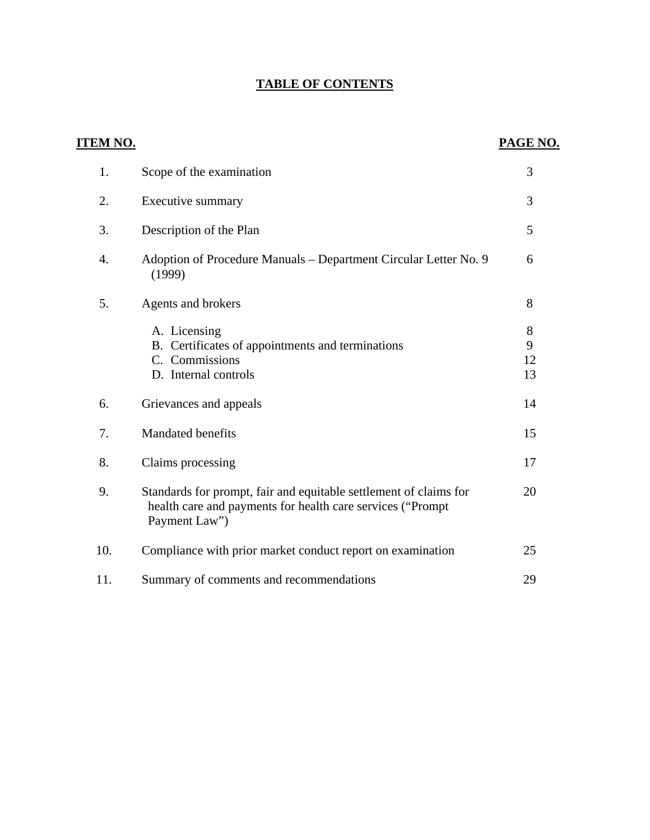# **TABLE OF CONTENTS**

| <u>ITEM NO.</u> |                                                                                                                                                  | PAGE NO.           |
|-----------------|--------------------------------------------------------------------------------------------------------------------------------------------------|--------------------|
| 1.              | Scope of the examination                                                                                                                         | 3                  |
| 2.              | Executive summary                                                                                                                                | 3                  |
| 3.              | Description of the Plan                                                                                                                          | 5                  |
| 4.              | Adoption of Procedure Manuals – Department Circular Letter No. 9<br>(1999)                                                                       | 6                  |
| 5.              | Agents and brokers                                                                                                                               | 8                  |
|                 | A. Licensing<br>B. Certificates of appointments and terminations<br>C. Commissions<br>D. Internal controls                                       | 8<br>9<br>12<br>13 |
| 6.              | Grievances and appeals                                                                                                                           | 14                 |
| 7.              | Mandated benefits                                                                                                                                | 15                 |
| 8.              | Claims processing                                                                                                                                | 17                 |
| 9.              | Standards for prompt, fair and equitable settlement of claims for<br>health care and payments for health care services ("Prompt<br>Payment Law") | 20                 |
| 10.             | Compliance with prior market conduct report on examination                                                                                       | 25                 |
| 11.             | Summary of comments and recommendations                                                                                                          | 29                 |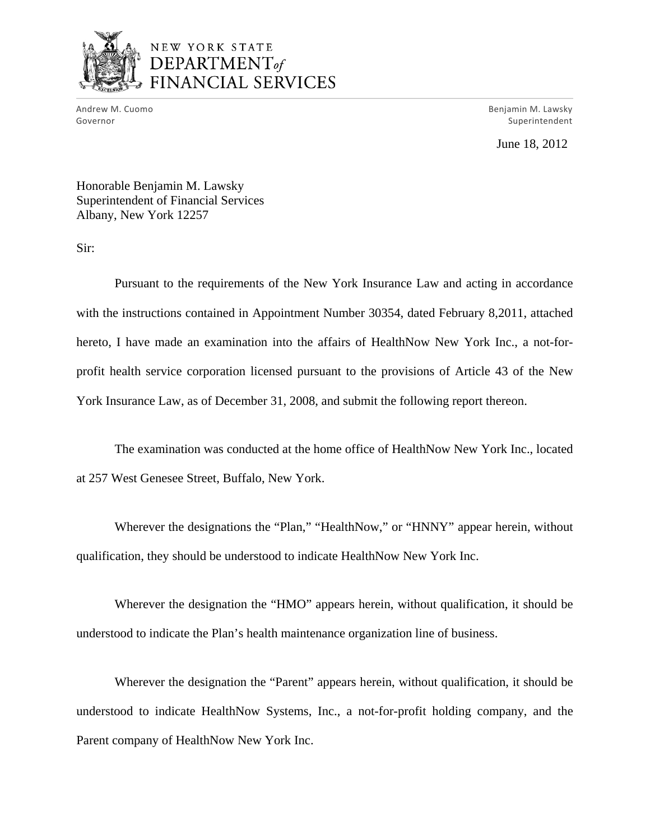

# NEW YORK STATE  $$ FINANCIAL SERVICES

era M. Cuomo Benjamin M. Lawsky Governor Superintendent and Superintendent and Superintendent and Superintendent and Superintendent and Superintendent

June 18, 2012

Honorable Benjamin M. Lawsky Superintendent of Financial Services Albany, New York 12257

Sir:

Pursuant to the requirements of the New York Insurance Law and acting in accordance with the instructions contained in Appointment Number 30354, dated February 8,2011, attached hereto, I have made an examination into the affairs of HealthNow New York Inc., a not-forprofit health service corporation licensed pursuant to the provisions of Article 43 of the New York Insurance Law, as of December 31, 2008, and submit the following report thereon.

The examination was conducted at the home office of HealthNow New York Inc., located at 257 West Genesee Street, Buffalo, New York.

Wherever the designations the "Plan," "HealthNow," or "HNNY" appear herein, without qualification, they should be understood to indicate HealthNow New York Inc.

Wherever the designation the "HMO" appears herein, without qualification, it should be understood to indicate the Plan's health maintenance organization line of business.

Wherever the designation the "Parent" appears herein, without qualification, it should be understood to indicate HealthNow Systems, Inc., a not-for-profit holding company, and the Parent company of HealthNow New York Inc.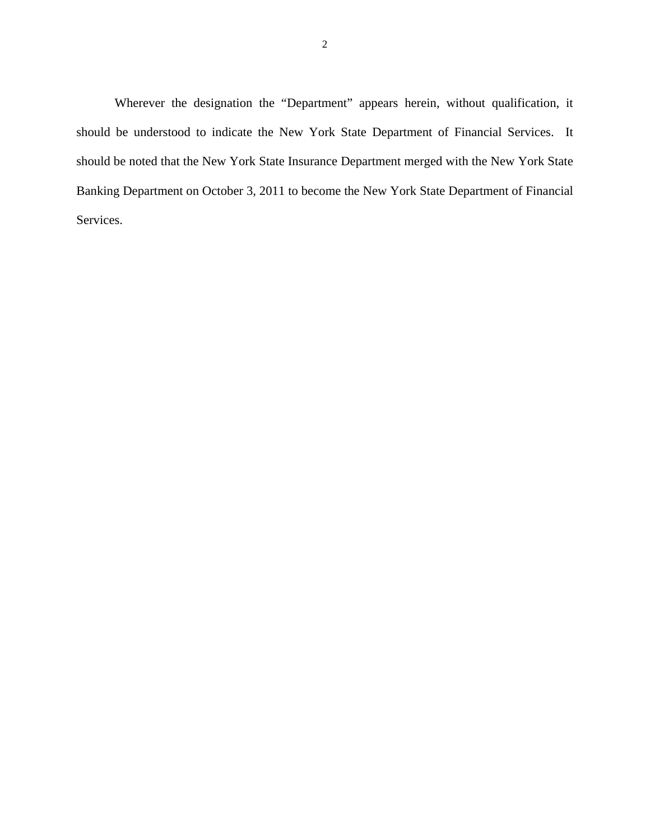Wherever the designation the "Department" appears herein, without qualification, it should be understood to indicate the New York State Department of Financial Services. It should be noted that the New York State Insurance Department merged with the New York State Banking Department on October 3, 2011 to become the New York State Department of Financial Services.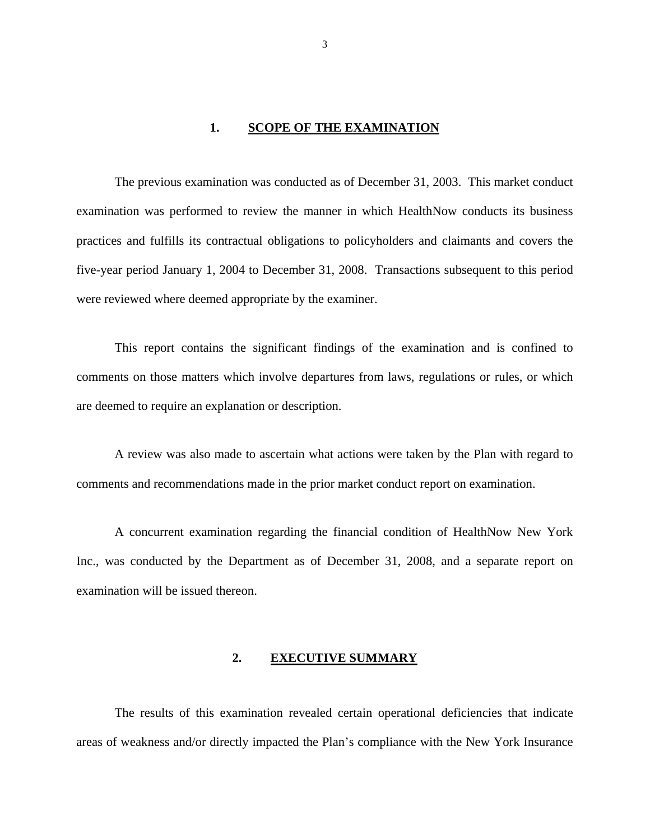#### 1. SCOPE OF THE EXAMINATION

The previous examination was conducted as of December 31, 2003. This market conduct examination was performed to review the manner in which HealthNow conducts its business practices and fulfills its contractual obligations to policyholders and claimants and covers the five-year period January 1, 2004 to December 31, 2008. Transactions subsequent to this period were reviewed where deemed appropriate by the examiner.

This report contains the significant findings of the examination and is confined to comments on those matters which involve departures from laws, regulations or rules, or which are deemed to require an explanation or description.

A review was also made to ascertain what actions were taken by the Plan with regard to comments and recommendations made in the prior market conduct report on examination.

A concurrent examination regarding the financial condition of HealthNow New York Inc., was conducted by the Department as of December 31, 2008, and a separate report on examination will be issued thereon.

#### **2. EXECUTIVE SUMMARY**

The results of this examination revealed certain operational deficiencies that indicate areas of weakness and/or directly impacted the Plan's compliance with the New York Insurance

3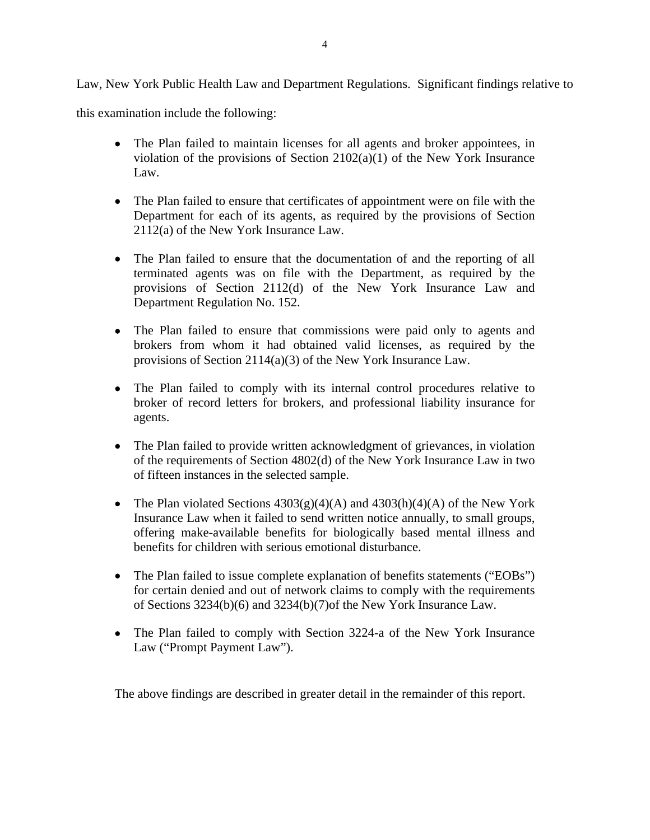Law, New York Public Health Law and Department Regulations. Significant findings relative to

this examination include the following:

- The Plan failed to maintain licenses for all agents and broker appointees, in violation of the provisions of Section 2102(a)(1) of the New York Insurance Law.
- The Plan failed to ensure that certificates of appointment were on file with the Department for each of its agents, as required by the provisions of Section 2112(a) of the New York Insurance Law.
- The Plan failed to ensure that the documentation of and the reporting of all terminated agents was on file with the Department, as required by the provisions of Section 2112(d) of the New York Insurance Law and Department Regulation No. 152.
- The Plan failed to ensure that commissions were paid only to agents and brokers from whom it had obtained valid licenses, as required by the provisions of Section 2114(a)(3) of the New York Insurance Law.
- The Plan failed to comply with its internal control procedures relative to broker of record letters for brokers, and professional liability insurance for agents.
- The Plan failed to provide written acknowledgment of grievances, in violation of the requirements of Section 4802(d) of the New York Insurance Law in two of fifteen instances in the selected sample.
- The Plan violated Sections  $4303(g)(4)(A)$  and  $4303(h)(4)(A)$  of the New York Insurance Law when it failed to send written notice annually, to small groups, offering make-available benefits for biologically based mental illness and benefits for children with serious emotional disturbance.
- The Plan failed to issue complete explanation of benefits statements ("EOBs") for certain denied and out of network claims to comply with the requirements of Sections 3234(b)(6) and 3234(b)(7)of the New York Insurance Law.
- The Plan failed to comply with Section 3224-a of the New York Insurance Law ("Prompt Payment Law").

The above findings are described in greater detail in the remainder of this report.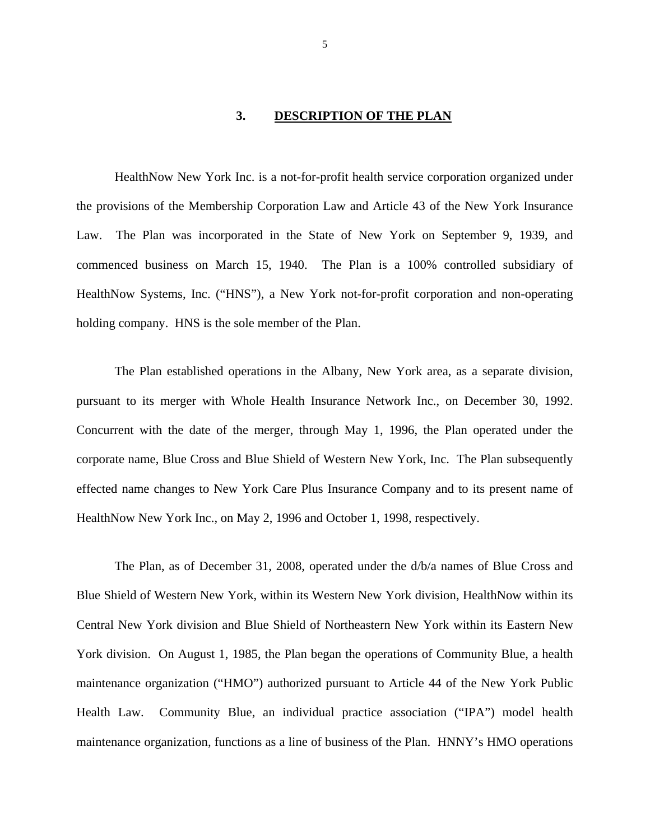#### **3. DESCRIPTION OF THE PLAN**

<span id="page-6-0"></span>HealthNow New York Inc. is a not-for-profit health service corporation organized under the provisions of the Membership Corporation Law and Article 43 of the New York Insurance Law. The Plan was incorporated in the State of New York on September 9, 1939, and commenced business on March 15, 1940. The Plan is a 100% controlled subsidiary of HealthNow Systems, Inc. ("HNS"), a New York not-for-profit corporation and non-operating holding company. HNS is the sole member of the Plan.

The Plan established operations in the Albany, New York area, as a separate division, pursuant to its merger with Whole Health Insurance Network Inc., on December 30, 1992. Concurrent with the date of the merger, through May 1, 1996, the Plan operated under the corporate name, Blue Cross and Blue Shield of Western New York, Inc. The Plan subsequently effected name changes to New York Care Plus Insurance Company and to its present name of HealthNow New York Inc., on May 2, 1996 and October 1, 1998, respectively.

The Plan, as of December 31, 2008, operated under the d/b/a names of Blue Cross and Blue Shield of Western New York, within its Western New York division, HealthNow within its Central New York division and Blue Shield of Northeastern New York within its Eastern New York division. On August 1, 1985, the Plan began the operations of Community Blue, a health maintenance organization ("HMO") authorized pursuant to Article 44 of the New York Public Health Law. Community Blue, an individual practice association ("IPA") model health maintenance organization, functions as a line of business of the Plan. HNNY's HMO operations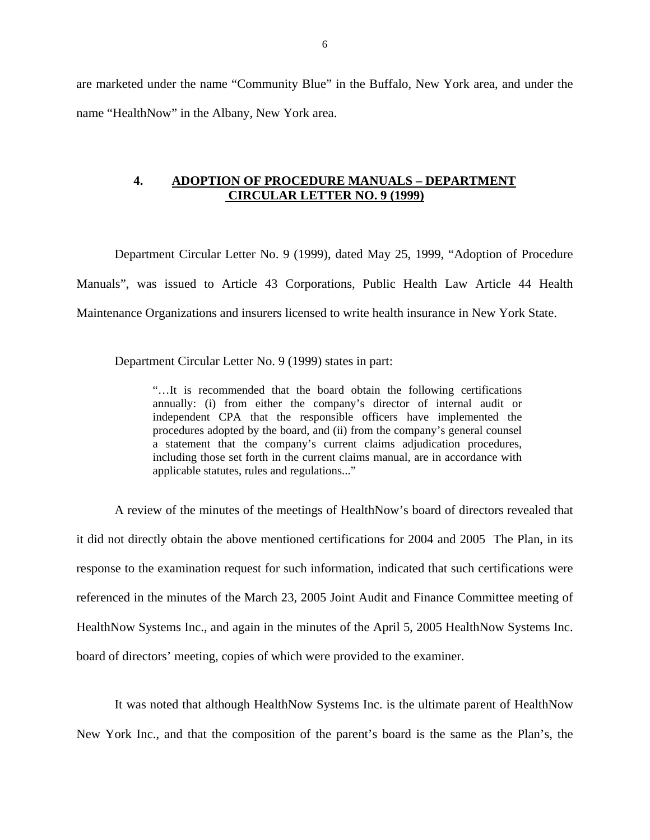<span id="page-7-0"></span>are marketed under the name "Community Blue" in the Buffalo, New York area, and under the name "HealthNow" in the Albany, New York area.

#### **4. ADOPTION OF PROCEDURE MANUALS – DEPARTMENT CIRCULAR LETTER NO. 9 (1999)**

Department Circular Letter No. 9 (1999), dated May 25, 1999, "Adoption of Procedure Manuals", was issued to Article 43 Corporations, Public Health Law Article 44 Health Maintenance Organizations and insurers licensed to write health insurance in New York State.

Department Circular Letter No. 9 (1999) states in part:

"…It is recommended that the board obtain the following certifications annually: (i) from either the company's director of internal audit or independent CPA that the responsible officers have implemented the procedures adopted by the board, and (ii) from the company's general counsel a statement that the company's current claims adjudication procedures, including those set forth in the current claims manual, are in accordance with applicable statutes, rules and regulations..."

A review of the minutes of the meetings of HealthNow's board of directors revealed that it did not directly obtain the above mentioned certifications for 2004 and 2005 The Plan, in its response to the examination request for such information, indicated that such certifications were referenced in the minutes of the March 23, 2005 Joint Audit and Finance Committee meeting of HealthNow Systems Inc., and again in the minutes of the April 5, 2005 HealthNow Systems Inc. board of directors' meeting, copies of which were provided to the examiner.

It was noted that although HealthNow Systems Inc. is the ultimate parent of HealthNow New York Inc., and that the composition of the parent's board is the same as the Plan's, the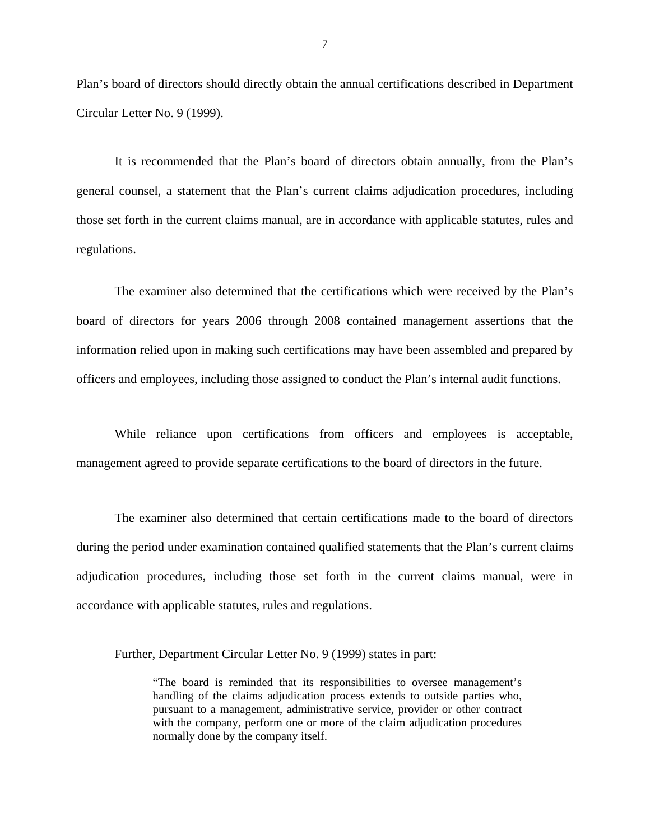Plan's board of directors should directly obtain the annual certifications described in Department Circular Letter No. 9 (1999).

It is recommended that the Plan's board of directors obtain annually, from the Plan's general counsel, a statement that the Plan's current claims adjudication procedures, including those set forth in the current claims manual, are in accordance with applicable statutes, rules and regulations.

The examiner also determined that the certifications which were received by the Plan's board of directors for years 2006 through 2008 contained management assertions that the information relied upon in making such certifications may have been assembled and prepared by officers and employees, including those assigned to conduct the Plan's internal audit functions.

While reliance upon certifications from officers and employees is acceptable, management agreed to provide separate certifications to the board of directors in the future.

The examiner also determined that certain certifications made to the board of directors during the period under examination contained qualified statements that the Plan's current claims adjudication procedures, including those set forth in the current claims manual, were in accordance with applicable statutes, rules and regulations.

Further, Department Circular Letter No. 9 (1999) states in part:

"The board is reminded that its responsibilities to oversee management's handling of the claims adjudication process extends to outside parties who, pursuant to a management, administrative service, provider or other contract with the company, perform one or more of the claim adjudication procedures normally done by the company itself.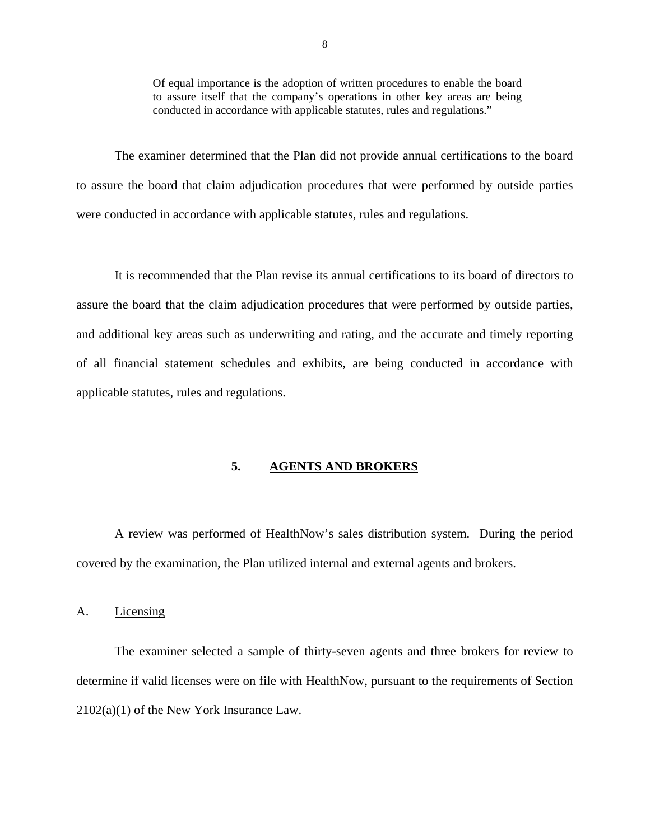Of equal importance is the adoption of written procedures to enable the board to assure itself that the company's operations in other key areas are being conducted in accordance with applicable statutes, rules and regulations."

<span id="page-9-0"></span>The examiner determined that the Plan did not provide annual certifications to the board to assure the board that claim adjudication procedures that were performed by outside parties were conducted in accordance with applicable statutes, rules and regulations.

It is recommended that the Plan revise its annual certifications to its board of directors to assure the board that the claim adjudication procedures that were performed by outside parties, and additional key areas such as underwriting and rating, and the accurate and timely reporting of all financial statement schedules and exhibits, are being conducted in accordance with applicable statutes, rules and regulations.

#### **5. AGENTS AND BROKERS**

A review was performed of HealthNow's sales distribution system. During the period covered by the examination, the Plan utilized internal and external agents and brokers.

#### A. Licensing

The examiner selected a sample of thirty-seven agents and three brokers for review to determine if valid licenses were on file with HealthNow, pursuant to the requirements of Section 2102(a)(1) of the New York Insurance Law.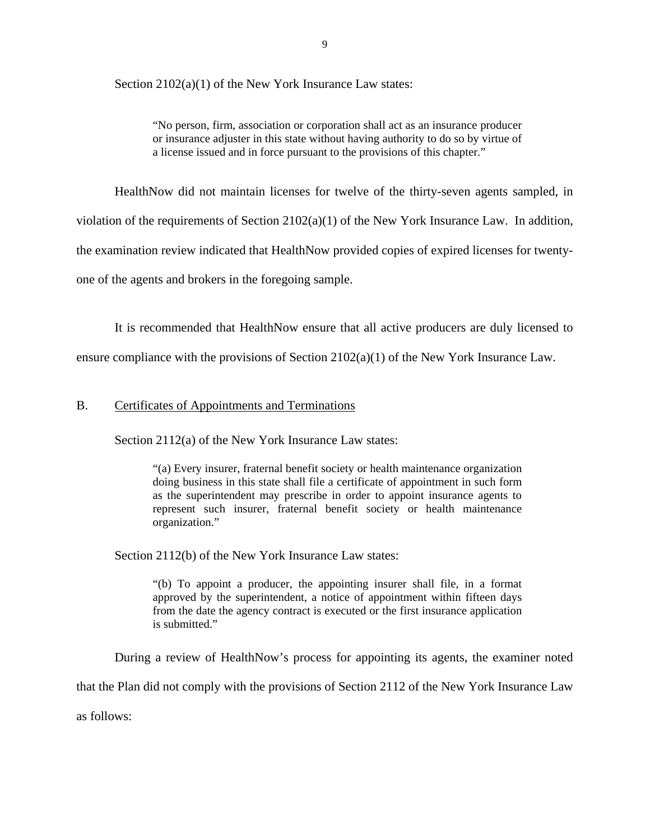<span id="page-10-0"></span>Section 2102(a)(1) of the New York Insurance Law states:

"No person, firm, association or corporation shall act as an insurance producer or insurance adjuster in this state without having authority to do so by virtue of a license issued and in force pursuant to the provisions of this chapter."

HealthNow did not maintain licenses for twelve of the thirty-seven agents sampled, in violation of the requirements of Section 2102(a)(1) of the New York Insurance Law. In addition, the examination review indicated that HealthNow provided copies of expired licenses for twentyone of the agents and brokers in the foregoing sample.

It is recommended that HealthNow ensure that all active producers are duly licensed to ensure compliance with the provisions of Section  $2102(a)(1)$  of the New York Insurance Law.

### B. Certificates of Appointments and Terminations

Section 2112(a) of the New York Insurance Law states:

"(a) Every insurer, fraternal benefit society or health maintenance organization doing business in this state shall file a certificate of appointment in such form as the superintendent may prescribe in order to appoint insurance agents to represent such insurer, fraternal benefit society or health maintenance organization."

Section 2112(b) of the New York Insurance Law states:

"(b) To appoint a producer, the appointing insurer shall file, in a format approved by the superintendent, a notice of appointment within fifteen days from the date the agency contract is executed or the first insurance application is submitted."

During a review of HealthNow's process for appointing its agents, the examiner noted

that the Plan did not comply with the provisions of Section 2112 of the New York Insurance Law

as follows: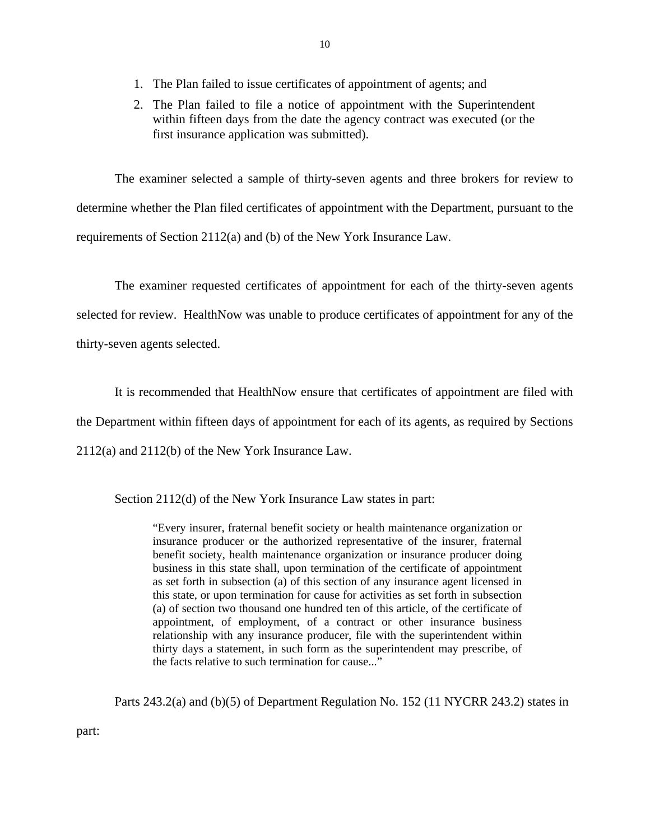- 1. The Plan failed to issue certificates of appointment of agents; and
- 2. The Plan failed to file a notice of appointment with the Superintendent within fifteen days from the date the agency contract was executed (or the first insurance application was submitted).

The examiner selected a sample of thirty-seven agents and three brokers for review to determine whether the Plan filed certificates of appointment with the Department, pursuant to the requirements of Section 2112(a) and (b) of the New York Insurance Law.

The examiner requested certificates of appointment for each of the thirty-seven agents selected for review. HealthNow was unable to produce certificates of appointment for any of the thirty-seven agents selected.

It is recommended that HealthNow ensure that certificates of appointment are filed with

the Department within fifteen days of appointment for each of its agents, as required by Sections

2112(a) and 2112(b) of the New York Insurance Law.

Section 2112(d) of the New York Insurance Law states in part:

"Every insurer, fraternal benefit society or health maintenance organization or insurance producer or the authorized representative of the insurer, fraternal benefit society, health maintenance organization or insurance producer doing business in this state shall, upon termination of the certificate of appointment as set forth in subsection (a) of this section of any insurance agent licensed in this state, or upon termination for cause for activities as set forth in subsection (a) of section two thousand one hundred ten of this article, of the certificate of appointment, of employment, of a contract or other insurance business relationship with any insurance producer, file with the superintendent within thirty days a statement, in such form as the superintendent may prescribe, of the facts relative to such termination for cause..."

Parts 243.2(a) and (b)(5) of Department Regulation No. 152 (11 NYCRR 243.2) states in

10

part: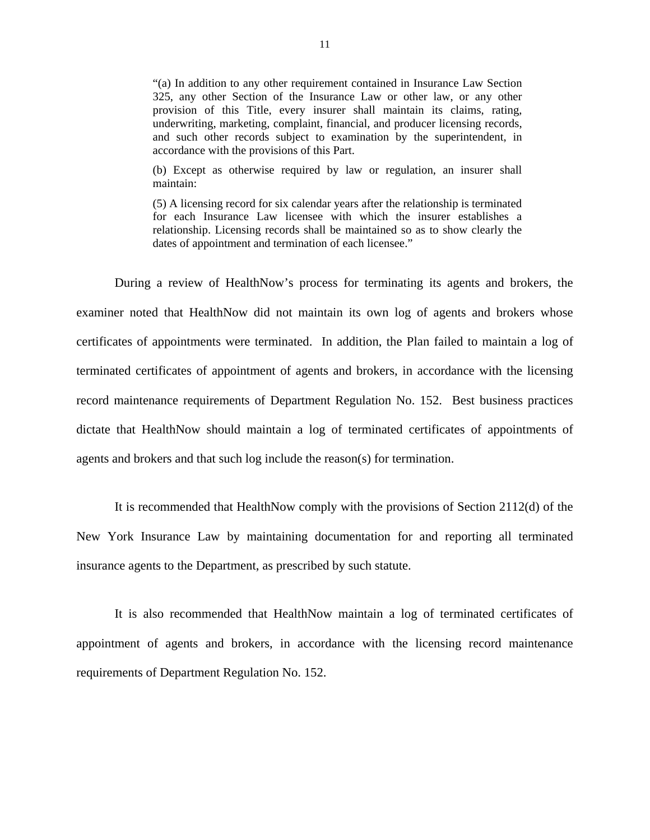"(a) In addition to any other requirement contained in Insurance Law Section 325, any other Section of the Insurance Law or other law, or any other provision of this Title, every insurer shall maintain its claims, rating, underwriting, marketing, complaint, financial, and producer licensing records, and such other records subject to examination by the superintendent, in accordance with the provisions of this Part.

(b) Except as otherwise required by law or regulation, an insurer shall maintain:

(5) A licensing record for six calendar years after the relationship is terminated for each Insurance Law licensee with which the insurer establishes a relationship. Licensing records shall be maintained so as to show clearly the dates of appointment and termination of each licensee."

During a review of HealthNow's process for terminating its agents and brokers, the examiner noted that HealthNow did not maintain its own log of agents and brokers whose certificates of appointments were terminated. In addition, the Plan failed to maintain a log of terminated certificates of appointment of agents and brokers, in accordance with the licensing record maintenance requirements of Department Regulation No. 152. Best business practices dictate that HealthNow should maintain a log of terminated certificates of appointments of agents and brokers and that such log include the reason(s) for termination.

It is recommended that HealthNow comply with the provisions of Section 2112(d) of the New York Insurance Law by maintaining documentation for and reporting all terminated insurance agents to the Department, as prescribed by such statute.

It is also recommended that HealthNow maintain a log of terminated certificates of appointment of agents and brokers, in accordance with the licensing record maintenance requirements of Department Regulation No. 152.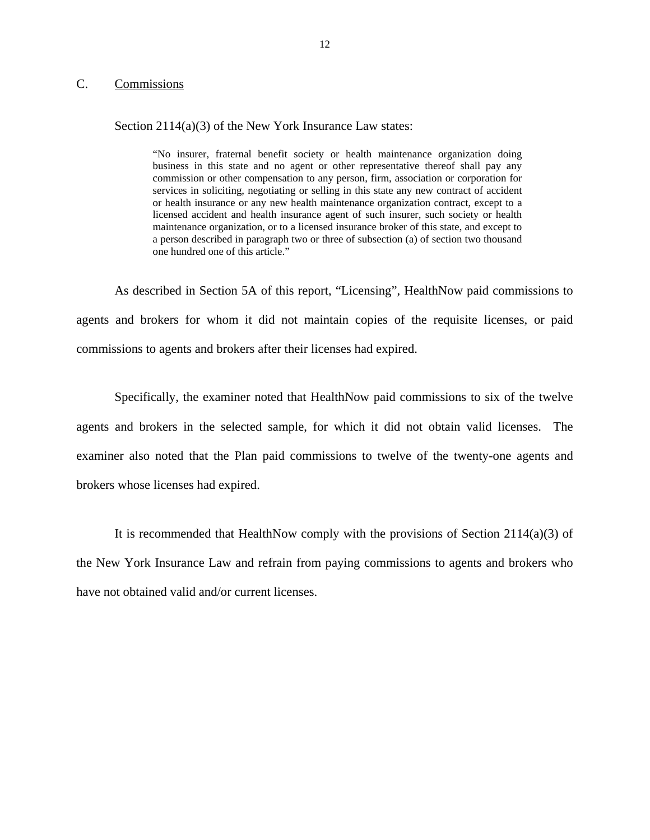### <span id="page-13-0"></span>C. Commissions

#### Section 2114(a)(3) of the New York Insurance Law states:

 "No insurer, fraternal benefit society or health maintenance organization doing business in this state and no agent or other representative thereof shall pay any commission or other compensation to any person, firm, association or corporation for services in soliciting, negotiating or selling in this state any new contract of accident or health insurance or any new health maintenance organization contract, except to a licensed accident and health insurance agent of such insurer, such society or health maintenance organization, or to a licensed insurance broker of this state, and except to a person described in paragraph two or three of subsection (a) of section two thousand one hundred one of this article."

As described in Section 5A of this report, "Licensing", HealthNow paid commissions to agents and brokers for whom it did not maintain copies of the requisite licenses, or paid commissions to agents and brokers after their licenses had expired.

Specifically, the examiner noted that HealthNow paid commissions to six of the twelve agents and brokers in the selected sample, for which it did not obtain valid licenses. The examiner also noted that the Plan paid commissions to twelve of the twenty-one agents and brokers whose licenses had expired.

It is recommended that HealthNow comply with the provisions of Section  $2114(a)(3)$  of the New York Insurance Law and refrain from paying commissions to agents and brokers who have not obtained valid and/or current licenses.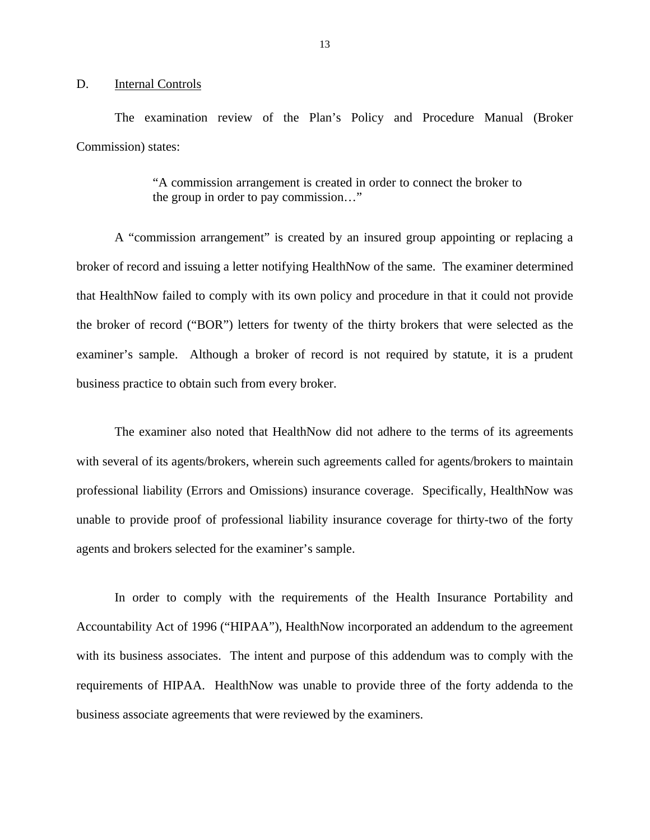#### <span id="page-14-0"></span>D. Internal Controls

The examination review of the Plan's Policy and Procedure Manual (Broker Commission) states:

> "A commission arrangement is created in order to connect the broker to the group in order to pay commission…"

A "commission arrangement" is created by an insured group appointing or replacing a broker of record and issuing a letter notifying HealthNow of the same. The examiner determined that HealthNow failed to comply with its own policy and procedure in that it could not provide the broker of record ("BOR") letters for twenty of the thirty brokers that were selected as the examiner's sample. Although a broker of record is not required by statute, it is a prudent business practice to obtain such from every broker.

The examiner also noted that HealthNow did not adhere to the terms of its agreements with several of its agents/brokers, wherein such agreements called for agents/brokers to maintain professional liability (Errors and Omissions) insurance coverage. Specifically, HealthNow was unable to provide proof of professional liability insurance coverage for thirty-two of the forty agents and brokers selected for the examiner's sample.

In order to comply with the requirements of the Health Insurance Portability and Accountability Act of 1996 ("HIPAA"), HealthNow incorporated an addendum to the agreement with its business associates. The intent and purpose of this addendum was to comply with the requirements of HIPAA. HealthNow was unable to provide three of the forty addenda to the business associate agreements that were reviewed by the examiners.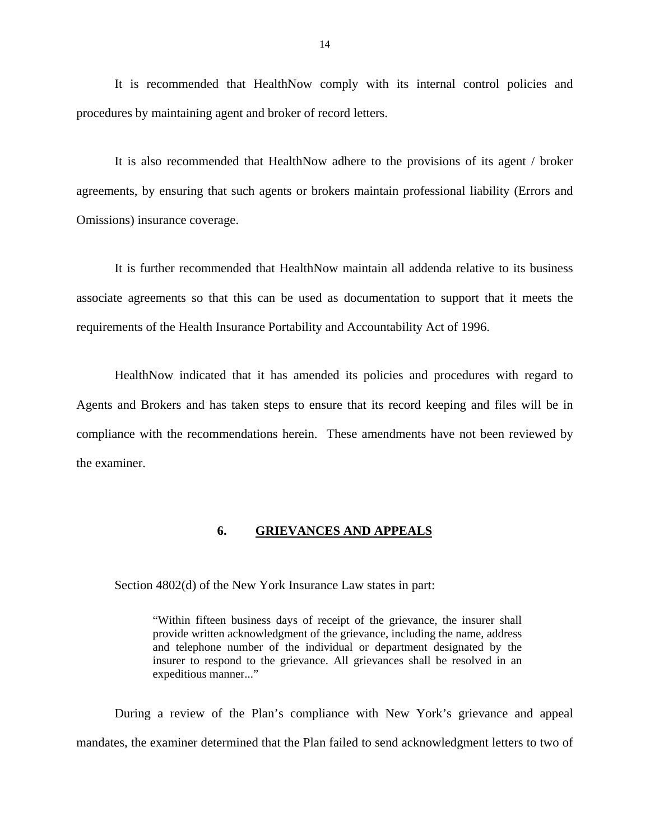<span id="page-15-0"></span>It is recommended that HealthNow comply with its internal control policies and procedures by maintaining agent and broker of record letters.

It is also recommended that HealthNow adhere to the provisions of its agent / broker agreements, by ensuring that such agents or brokers maintain professional liability (Errors and Omissions) insurance coverage.

It is further recommended that HealthNow maintain all addenda relative to its business associate agreements so that this can be used as documentation to support that it meets the requirements of the Health Insurance Portability and Accountability Act of 1996.

HealthNow indicated that it has amended its policies and procedures with regard to Agents and Brokers and has taken steps to ensure that its record keeping and files will be in compliance with the recommendations herein. These amendments have not been reviewed by the examiner.

#### **6. GRIEVANCES AND APPEALS**

Section 4802(d) of the New York Insurance Law states in part:

"Within fifteen business days of receipt of the grievance, the insurer shall provide written acknowledgment of the grievance, including the name, address and telephone number of the individual or department designated by the insurer to respond to the grievance. All grievances shall be resolved in an expeditious manner..."

During a review of the Plan's compliance with New York's grievance and appeal mandates, the examiner determined that the Plan failed to send acknowledgment letters to two of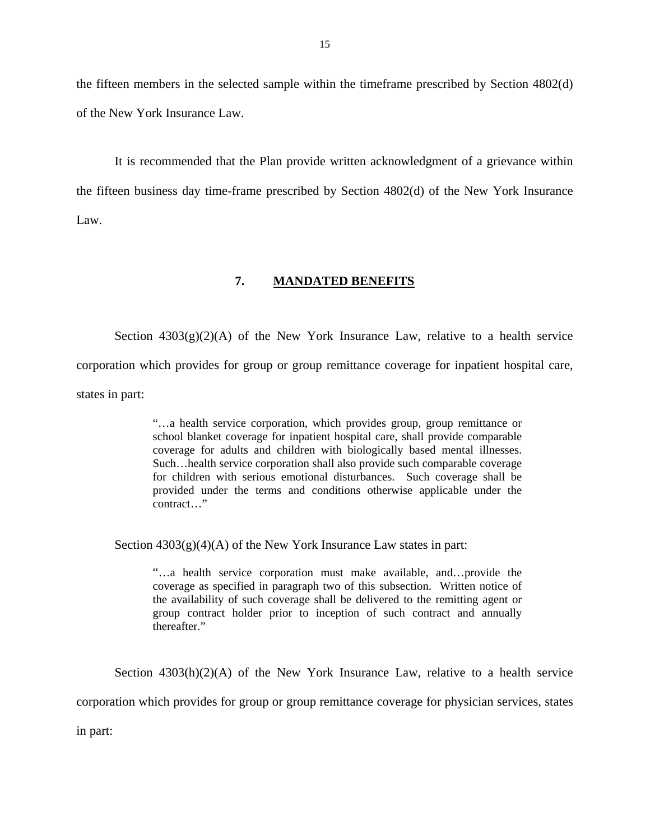<span id="page-16-0"></span>the fifteen members in the selected sample within the timeframe prescribed by Section 4802(d) of the New York Insurance Law.

It is recommended that the Plan provide written acknowledgment of a grievance within the fifteen business day time-frame prescribed by Section 4802(d) of the New York Insurance Law.

#### **7. MANDATED BENEFITS**

Section  $4303(g)(2)(A)$  of the New York Insurance Law, relative to a health service corporation which provides for group or group remittance coverage for inpatient hospital care, states in part:

> coverage for adults and children with biologically based mental illnesses. "…a health service corporation, which provides group, group remittance or school blanket coverage for inpatient hospital care, shall provide comparable Such... health service corporation shall also provide such comparable coverage. for children with serious emotional disturbances. Such coverage shall be provided under the terms and conditions otherwise applicable under the contract…"

Section  $4303(g)(4)(A)$  of the New York Insurance Law states in part:

"…a health service corporation must make available, and…provide the coverage as specified in paragraph two of this subsection. Written notice of the availability of such coverage shall be delivered to the remitting agent or group contract holder prior to inception of such contract and annually thereafter."

Section  $4303(h)(2)(A)$  of the New York Insurance Law, relative to a health service

corporation which provides for group or group remittance coverage for physician services, states

in part: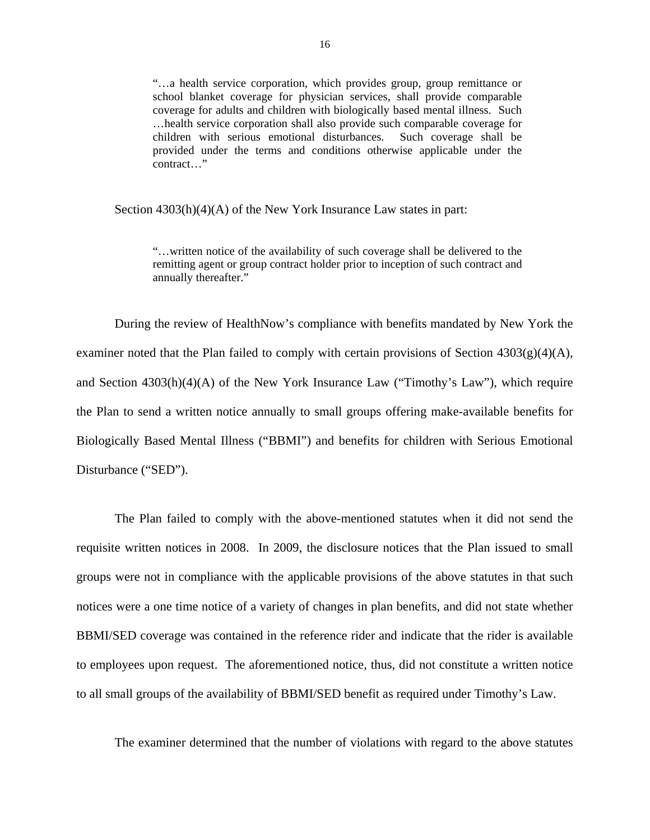"…a health service corporation, which provides group, group remittance or school blanket coverage for physician services, shall provide comparable coverage for adults and children with biologically based mental illness. Such …health service corporation shall also provide such comparable coverage for children with serious emotional disturbances. Such coverage shall be provided under the terms and conditions otherwise applicable under the contract…"

Section 4303(h)(4)(A) of the New York Insurance Law states in part:

"…written notice of the availability of such coverage shall be delivered to the remitting agent or group contract holder prior to inception of such contract and annually thereafter."

During the review of HealthNow's compliance with benefits mandated by New York the examiner noted that the Plan failed to comply with certain provisions of Section 4303(g)(4)(A), and Section 4303(h)(4)(A) of the New York Insurance Law ("Timothy's Law"), which require the Plan to send a written notice annually to small groups offering make-available benefits for Biologically Based Mental Illness ("BBMI") and benefits for children with Serious Emotional Disturbance ("SED").

The Plan failed to comply with the above-mentioned statutes when it did not send the requisite written notices in 2008. In 2009, the disclosure notices that the Plan issued to small groups were not in compliance with the applicable provisions of the above statutes in that such notices were a one time notice of a variety of changes in plan benefits, and did not state whether BBMI/SED coverage was contained in the reference rider and indicate that the rider is available to employees upon request. The aforementioned notice, thus, did not constitute a written notice to all small groups of the availability of BBMI/SED benefit as required under Timothy's Law.

The examiner determined that the number of violations with regard to the above statutes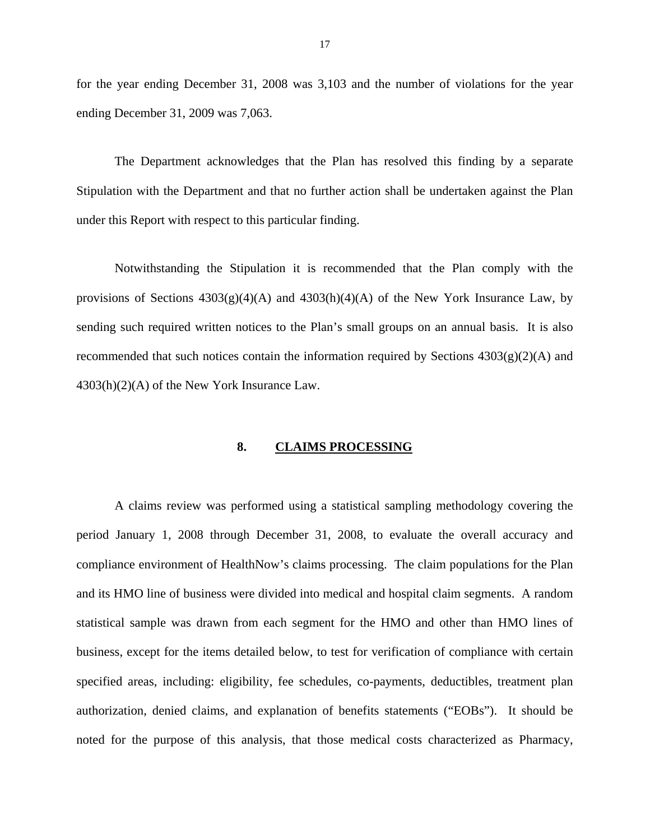<span id="page-18-0"></span>for the year ending December 31, 2008 was 3,103 and the number of violations for the year ending December 31, 2009 was 7,063.

The Department acknowledges that the Plan has resolved this finding by a separate Stipulation with the Department and that no further action shall be undertaken against the Plan under this Report with respect to this particular finding.

Notwithstanding the Stipulation it is recommended that the Plan comply with the provisions of Sections  $4303(g)(4)(A)$  and  $4303(h)(4)(A)$  of the New York Insurance Law, by sending such required written notices to the Plan's small groups on an annual basis. It is also recommended that such notices contain the information required by Sections  $4303(g)(2)(A)$  and 4303(h)(2)(A) of the New York Insurance Law.

#### **8. CLAIMS PROCESSING**

A claims review was performed using a statistical sampling methodology covering the period January 1, 2008 through December 31, 2008, to evaluate the overall accuracy and compliance environment of HealthNow's claims processing. The claim populations for the Plan and its HMO line of business were divided into medical and hospital claim segments. A random statistical sample was drawn from each segment for the HMO and other than HMO lines of business, except for the items detailed below, to test for verification of compliance with certain specified areas, including: eligibility, fee schedules, co-payments, deductibles, treatment plan authorization, denied claims, and explanation of benefits statements ("EOBs"). It should be noted for the purpose of this analysis, that those medical costs characterized as Pharmacy,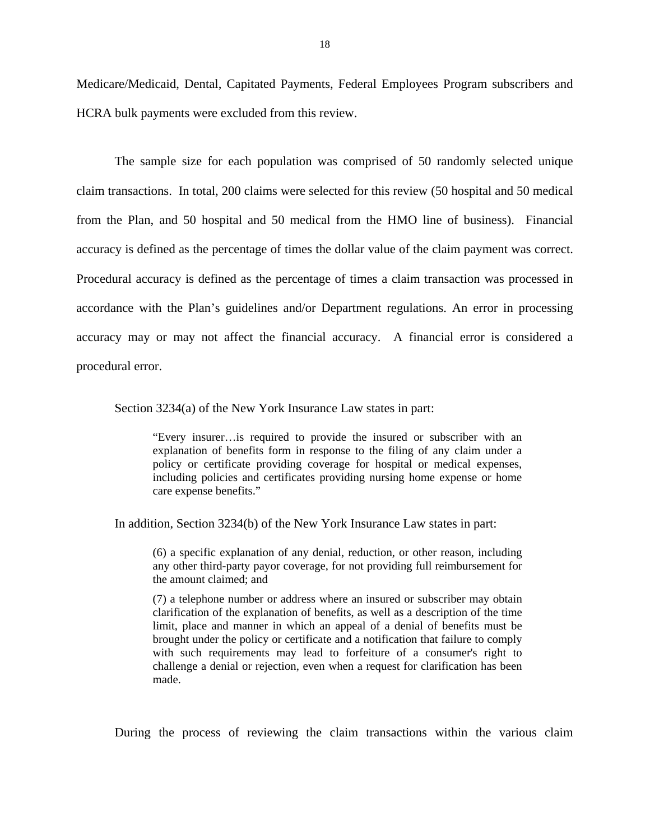Medicare/Medicaid, Dental, Capitated Payments, Federal Employees Program subscribers and HCRA bulk payments were excluded from this review.

The sample size for each population was comprised of 50 randomly selected unique claim transactions. In total, 200 claims were selected for this review (50 hospital and 50 medical from the Plan, and 50 hospital and 50 medical from the HMO line of business). Financial accuracy is defined as the percentage of times the dollar value of the claim payment was correct. Procedural accuracy is defined as the percentage of times a claim transaction was processed in accordance with the Plan's guidelines and/or Department regulations. An error in processing accuracy may or may not affect the financial accuracy. A financial error is considered a procedural error.

Section 3234(a) of the New York Insurance Law states in part:

"Every insurer…is required to provide the insured or subscriber with an explanation of benefits form in response to the filing of any claim under a policy or certificate providing coverage for hospital or medical expenses, including policies and certificates providing nursing home expense or home care expense benefits."

In addition, Section 3234(b) of the New York Insurance Law states in part:

(6) a specific explanation of any denial, reduction, or other reason, including any other third-party payor coverage, for not providing full reimbursement for the amount claimed; and

(7) a telephone number or address where an insured or subscriber may obtain clarification of the explanation of benefits, as well as a description of the time limit, place and manner in which an appeal of a denial of benefits must be brought under the policy or certificate and a notification that failure to comply with such requirements may lead to forfeiture of a consumer's right to challenge a denial or rejection, even when a request for clarification has been made.

During the process of reviewing the claim transactions within the various claim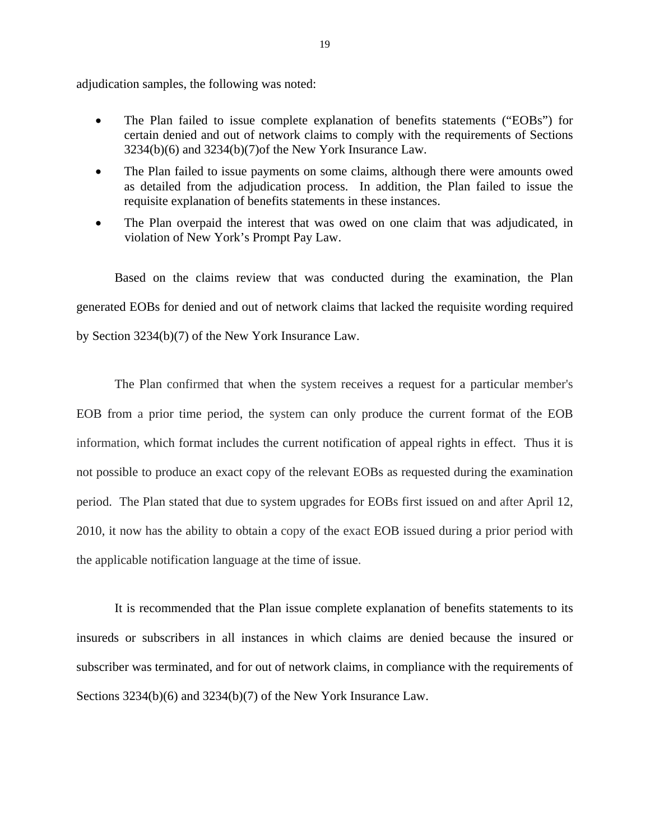adjudication samples, the following was noted:

- The Plan failed to issue complete explanation of benefits statements ("EOBs") for certain denied and out of network claims to comply with the requirements of Sections 3234(b)(6) and 3234(b)(7)of the New York Insurance Law.
- The Plan failed to issue payments on some claims, although there were amounts owed as detailed from the adjudication process. In addition, the Plan failed to issue the requisite explanation of benefits statements in these instances.
- The Plan overpaid the interest that was owed on one claim that was adjudicated, in violation of New York's Prompt Pay Law.

Based on the claims review that was conducted during the examination, the Plan generated EOBs for denied and out of network claims that lacked the requisite wording required by Section 3234(b)(7) of the New York Insurance Law.

The Plan confirmed that when the system receives a request for a particular member's EOB from a prior time period, the system can only produce the current format of the EOB information, which format includes the current notification of appeal rights in effect. Thus it is not possible to produce an exact copy of the relevant EOBs as requested during the examination period. The Plan stated that due to system upgrades for EOBs first issued on and after April 12, 2010, it now has the ability to obtain a copy of the exact EOB issued during a prior period with the applicable notification language at the time of issue.

It is recommended that the Plan issue complete explanation of benefits statements to its insureds or subscribers in all instances in which claims are denied because the insured or subscriber was terminated, and for out of network claims, in compliance with the requirements of Sections 3234(b)(6) and 3234(b)(7) of the New York Insurance Law.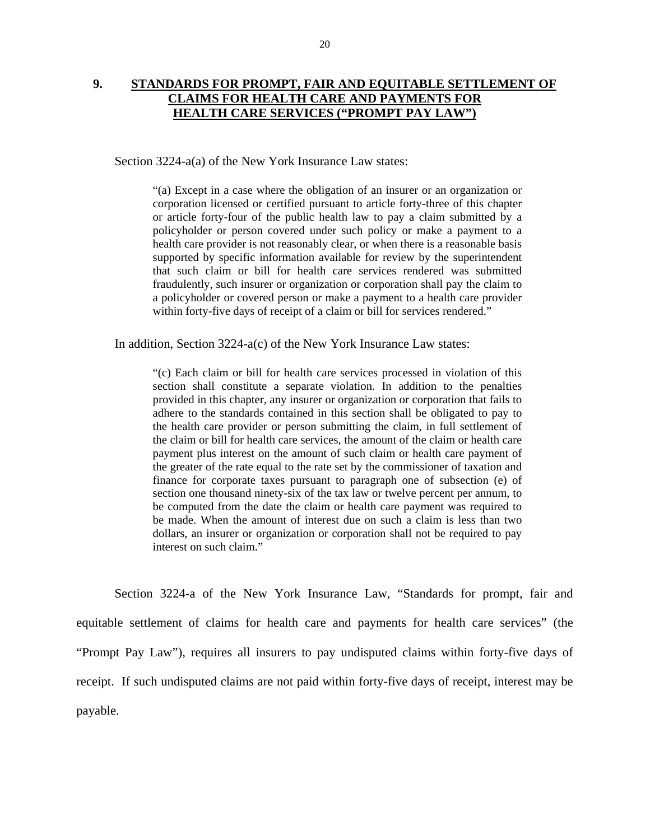### <span id="page-21-0"></span>**9. STANDARDS FOR PROMPT, FAIR AND EQUITABLE SETTLEMENT OF CLAIMS FOR HEALTH CARE AND PAYMENTS FOR HEALTH CARE SERVICES ("PROMPT PAY LAW")**

Section 3224-a(a) of the New York Insurance Law states:

 fraudulently, such insurer or organization or corporation shall pay the claim to "(a) Except in a case where the obligation of an insurer or an organization or corporation licensed or certified pursuant to article forty-three of this chapter or article forty-four of the public health law to pay a claim submitted by a policyholder or person covered under such policy or make a payment to a health care provider is not reasonably clear, or when there is a reasonable basis supported by specific information available for review by the superintendent that such claim or bill for health care services rendered was submitted a policyholder or covered person or make a payment to a health care provider within forty-five days of receipt of a claim or bill for services rendered."

In addition, Section 3224-a(c) of the New York Insurance Law states:

"(c) Each claim or bill for health care services processed in violation of this section shall constitute a separate violation. In addition to the penalties provided in this chapter, any insurer or organization or corporation that fails to adhere to the standards contained in this section shall be obligated to pay to the health care provider or person submitting the claim, in full settlement of the claim or bill for health care services, the amount of the claim or health care payment plus interest on the amount of such claim or health care payment of the greater of the rate equal to the rate set by the commissioner of taxation and finance for corporate taxes pursuant to paragraph one of subsection (e) of section one thousand ninety-six of the tax law or twelve percent per annum, to be computed from the date the claim or health care payment was required to be made. When the amount of interest due on such a claim is less than two dollars, an insurer or organization or corporation shall not be required to pay interest on such claim."

Section 3224-a of the New York Insurance Law, "Standards for prompt, fair and equitable settlement of claims for health care and payments for health care services" (the "Prompt Pay Law"), requires all insurers to pay undisputed claims within forty-five days of receipt. If such undisputed claims are not paid within forty-five days of receipt, interest may be payable.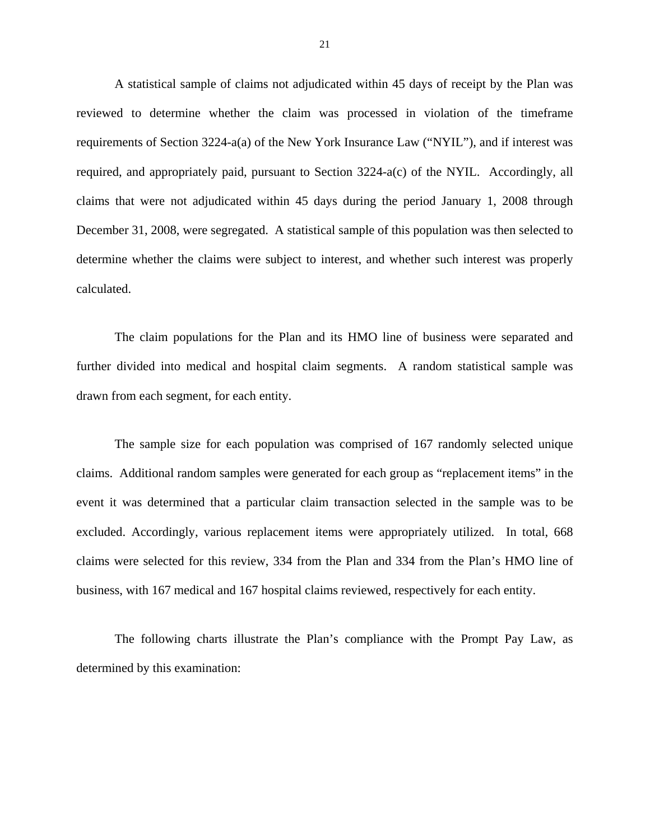A statistical sample of claims not adjudicated within 45 days of receipt by the Plan was reviewed to determine whether the claim was processed in violation of the timeframe requirements of Section 3224-a(a) of the New York Insurance Law ("NYIL"), and if interest was required, and appropriately paid, pursuant to Section 3224-a(c) of the NYIL. Accordingly, all claims that were not adjudicated within 45 days during the period January 1, 2008 through December 31, 2008, were segregated. A statistical sample of this population was then selected to determine whether the claims were subject to interest, and whether such interest was properly calculated.

The claim populations for the Plan and its HMO line of business were separated and further divided into medical and hospital claim segments. A random statistical sample was drawn from each segment, for each entity.

The sample size for each population was comprised of 167 randomly selected unique claims. Additional random samples were generated for each group as "replacement items" in the event it was determined that a particular claim transaction selected in the sample was to be excluded. Accordingly, various replacement items were appropriately utilized. In total, 668 claims were selected for this review, 334 from the Plan and 334 from the Plan's HMO line of business, with 167 medical and 167 hospital claims reviewed, respectively for each entity.

The following charts illustrate the Plan's compliance with the Prompt Pay Law, as determined by this examination: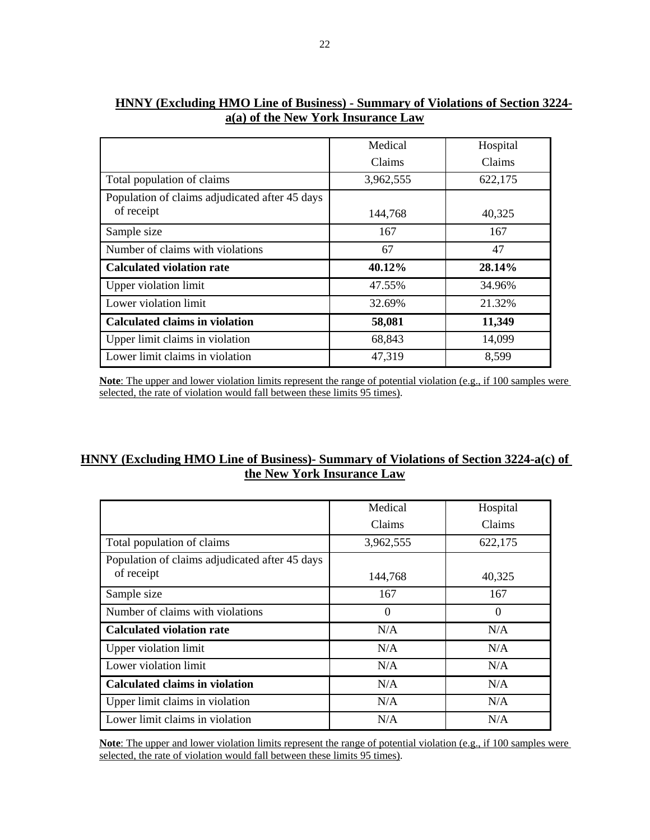|                                                | Medical   | Hospital |
|------------------------------------------------|-----------|----------|
|                                                | Claims    | Claims   |
| Total population of claims                     | 3,962,555 | 622,175  |
| Population of claims adjudicated after 45 days |           |          |
| of receipt                                     | 144,768   | 40,325   |
| Sample size                                    | 167       | 167      |
| Number of claims with violations               | 67        | 47       |
| <b>Calculated violation rate</b>               | 40.12%    | 28.14%   |
| <b>Upper violation limit</b>                   | 47.55%    | 34.96%   |
| Lower violation limit                          | 32.69%    | 21.32%   |
| <b>Calculated claims in violation</b>          | 58,081    | 11,349   |
| Upper limit claims in violation                | 68,843    | 14,099   |
| Lower limit claims in violation                | 47,319    | 8,599    |

### **HNNY (Excluding HMO Line of Business) - Summary of Violations of Section 3224 a(a) of the New York Insurance Law**

**Note**: The upper and lower violation limits represent the range of potential violation (e.g., if 100 samples were selected, the rate of violation would fall between these limits 95 times).

#### **HNNY (Excluding HMO Line of Business)- Summary of Violations of Section 3224-a(c) of the New York Insurance Law**

|                                                | Medical   | Hospital |
|------------------------------------------------|-----------|----------|
|                                                | Claims    | Claims   |
| Total population of claims                     | 3,962,555 | 622,175  |
| Population of claims adjudicated after 45 days |           |          |
| of receipt                                     | 144,768   | 40,325   |
| Sample size                                    | 167       | 167      |
| Number of claims with violations               | $\Omega$  | $\Omega$ |
| <b>Calculated violation rate</b>               | N/A       | N/A      |
| Upper violation limit                          | N/A       | N/A      |
| Lower violation limit                          | N/A       | N/A      |
| <b>Calculated claims in violation</b>          | N/A       | N/A      |
| Upper limit claims in violation                | N/A       | N/A      |
| Lower limit claims in violation                | N/A       | N/A      |

**Note**: The upper and lower violation limits represent the range of potential violation (e.g., if 100 samples were selected, the rate of violation would fall between these limits 95 times).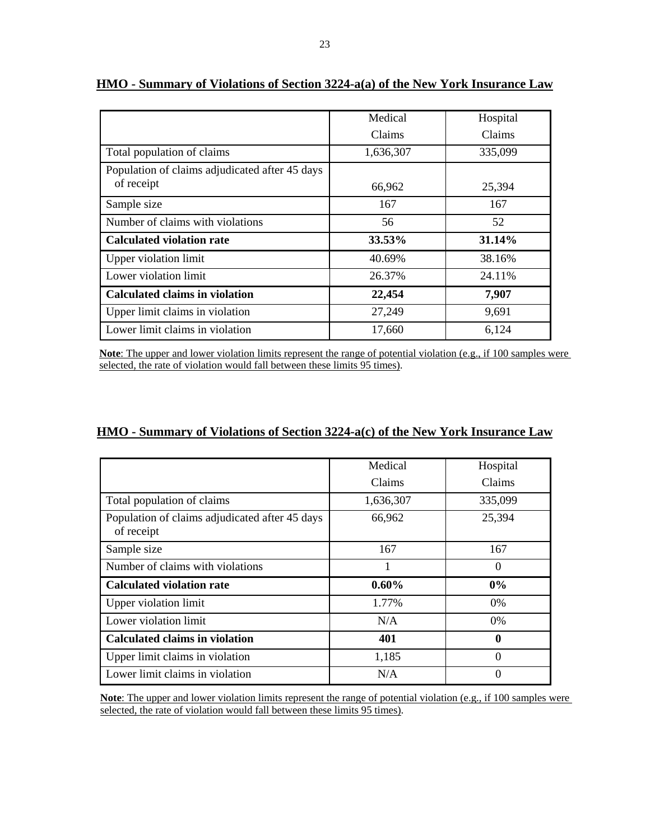|                                                              | Medical   | Hospital |
|--------------------------------------------------------------|-----------|----------|
|                                                              | Claims    | Claims   |
| Total population of claims                                   | 1,636,307 | 335,099  |
| Population of claims adjudicated after 45 days<br>of receipt | 66,962    | 25,394   |
| Sample size                                                  | 167       | 167      |
| Number of claims with violations                             | 56        | 52       |
| <b>Calculated violation rate</b>                             | 33.53%    | 31.14%   |
| <b>Upper violation limit</b>                                 | 40.69%    | 38.16%   |
| Lower violation limit                                        | 26.37%    | 24.11%   |
| <b>Calculated claims in violation</b>                        | 22,454    | 7,907    |
| Upper limit claims in violation                              | 27,249    | 9,691    |
| Lower limit claims in violation                              | 17,660    | 6,124    |

#### **HMO - Summary of Violations of Section 3224-a(a) of the New York Insurance Law**

**Note**: The upper and lower violation limits represent the range of potential violation (e.g., if 100 samples were selected, the rate of violation would fall between these limits 95 times).

#### **HMO - Summary of Violations of Section 3224-a(c) of the New York Insurance Law**

|                                                              | Medical   | Hospital |
|--------------------------------------------------------------|-----------|----------|
|                                                              | Claims    | Claims   |
| Total population of claims                                   | 1,636,307 | 335,099  |
| Population of claims adjudicated after 45 days<br>of receipt | 66,962    | 25,394   |
| Sample size                                                  | 167       | 167      |
| Number of claims with violations                             |           | $\Omega$ |
| <b>Calculated violation rate</b>                             | 0.60%     | 0%       |
| <b>Upper violation limit</b>                                 | 1.77%     | 0%       |
| Lower violation limit                                        | N/A       | 0%       |
| <b>Calculated claims in violation</b>                        | 401       | 0        |
| Upper limit claims in violation                              | 1,185     | $\Omega$ |
| Lower limit claims in violation                              | N/A       | $\Omega$ |

**Note**: The upper and lower violation limits represent the range of potential violation (e.g., if 100 samples were selected, the rate of violation would fall between these limits 95 times).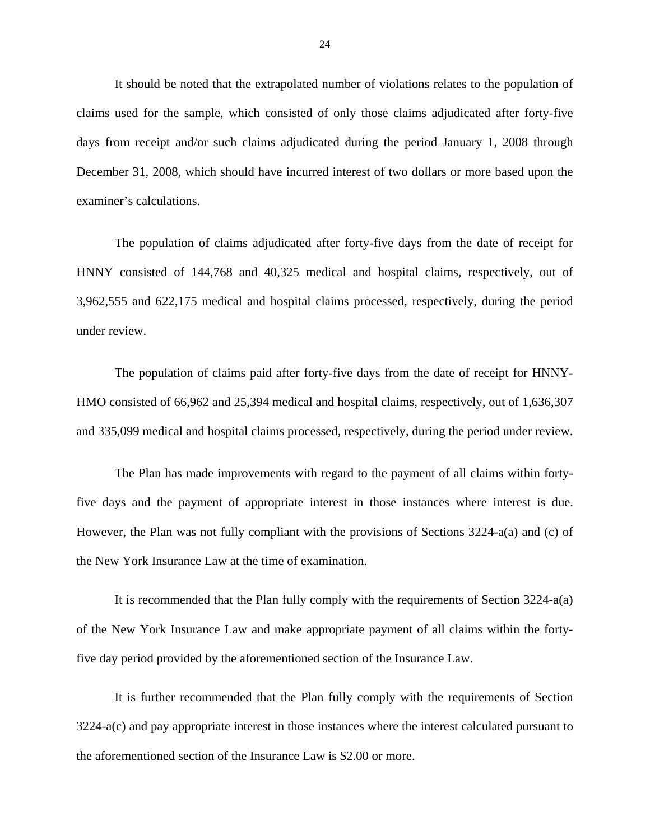It should be noted that the extrapolated number of violations relates to the population of claims used for the sample, which consisted of only those claims adjudicated after forty-five days from receipt and/or such claims adjudicated during the period January 1, 2008 through December 31, 2008, which should have incurred interest of two dollars or more based upon the examiner's calculations.

The population of claims adjudicated after forty-five days from the date of receipt for HNNY consisted of 144,768 and 40,325 medical and hospital claims, respectively, out of 3,962,555 and 622,175 medical and hospital claims processed, respectively, during the period under review.

The population of claims paid after forty-five days from the date of receipt for HNNY-HMO consisted of 66,962 and 25,394 medical and hospital claims, respectively, out of 1,636,307 and 335,099 medical and hospital claims processed, respectively, during the period under review.

five days and the payment of appropriate interest in those instances where interest is due. The Plan has made improvements with regard to the payment of all claims within forty-However, the Plan was not fully compliant with the provisions of Sections  $3224-a(a)$  and (c) of the New York Insurance Law at the time of examination.

It is recommended that the Plan fully comply with the requirements of Section 3224-a(a) of the New York Insurance Law and make appropriate payment of all claims within the fortyfive day period provided by the aforementioned section of the Insurance Law.

It is further recommended that the Plan fully comply with the requirements of Section 3224-a(c) and pay appropriate interest in those instances where the interest calculated pursuant to the aforementioned section of the Insurance Law is \$2.00 or more.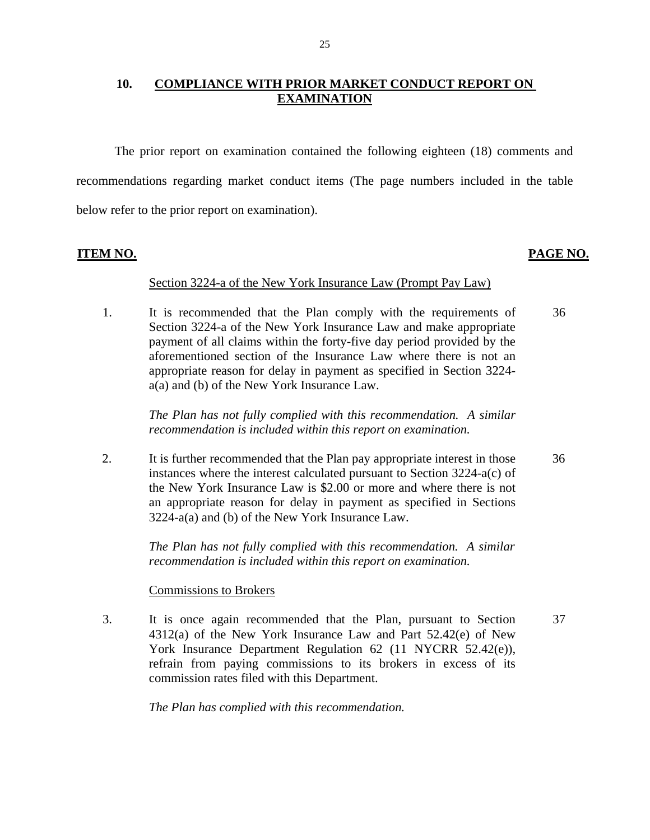#### **10. COMPLIANCE WITH PRIOR MARKET CONDUCT REPORT ON EXAMINATION**

The prior report on examination contained the following eighteen (18) comments and recommendations regarding market conduct items (The page numbers included in the table below refer to the prior report on examination).

#### **ITEM NO. PAGE NO.**

#### Section 3224-a of the New York Insurance Law (Prompt Pay Law)

1. It is recommended that the Plan comply with the requirements of Section 3224-a of the New York Insurance Law and make appropriate payment of all claims within the forty-five day period provided by the aforementioned section of the Insurance Law where there is not an appropriate reason for delay in payment as specified in Section 3224 a(a) and (b) of the New York Insurance Law. 36

> *The Plan has not fully complied with this recommendation. A similar recommendation is included within this report on examination.*

2. It is further recommended that the Plan pay appropriate interest in those instances where the interest calculated pursuant to Section 3224-a(c) of the New York Insurance Law is \$2.00 or more and where there is not an appropriate reason for delay in payment as specified in Sections 3224-a(a) and (b) of the New York Insurance Law. 36

> *The Plan has not fully complied with this recommendation. A similar recommendation is included within this report on examination.*

#### **Commissions to Brokers**

3. It is once again recommended that the Plan, pursuant to Section 4312(a) of the New York Insurance Law and Part 52.42(e) of New York Insurance Department Regulation 62 (11 NYCRR 52.42(e)), refrain from paying commissions to its brokers in excess of its commission rates filed with this Department. 37

*The Plan has complied with this recommendation.*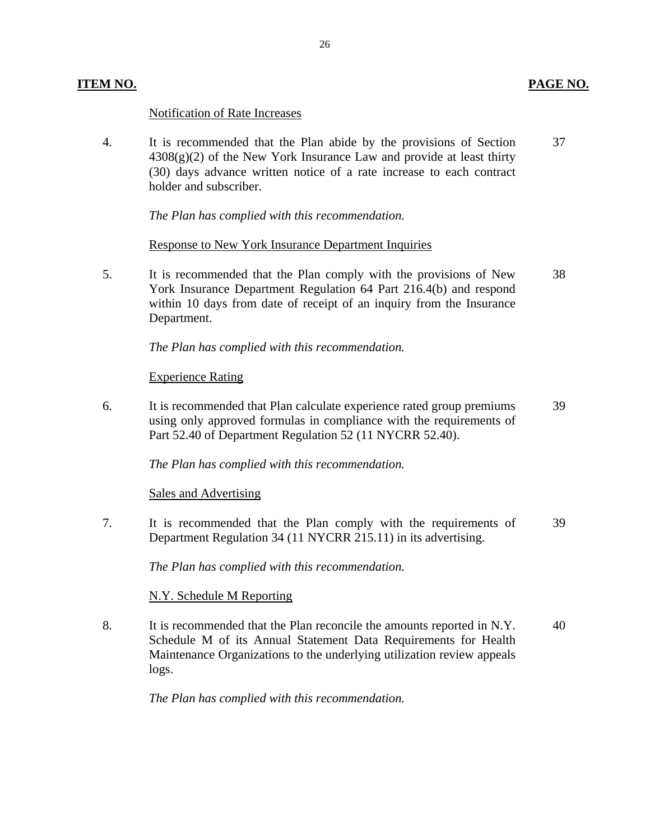#### Notification of Rate Increases

4. It is recommended that the Plan abide by the provisions of Section  $4308(g)(2)$  of the New York Insurance Law and provide at least thirty (30) days advance written notice of a rate increase to each contract holder and subscriber. 37

*The Plan has complied with this recommendation.* 

Response to New York Insurance Department Inquiries

5. It is recommended that the Plan comply with the provisions of New York Insurance Department Regulation 64 Part 216.4(b) and respond within 10 days from date of receipt of an inquiry from the Insurance Department. 38

*The Plan has complied with this recommendation.* 

#### Experience Rating

6. It is recommended that Plan calculate experience rated group premiums using only approved formulas in compliance with the requirements of Part 52.40 of Department Regulation 52 (11 NYCRR 52.40). 39

*The Plan has complied with this recommendation.* 

Sales and Advertising

7. It is recommended that the Plan comply with the requirements of Department Regulation 34 (11 NYCRR 215.11) in its advertising. 39

*The Plan has complied with this recommendation.* 

#### N.Y. Schedule M Reporting

8. It is recommended that the Plan reconcile the amounts reported in N.Y. Schedule M of its Annual Statement Data Requirements for Health Maintenance Organizations to the underlying utilization review appeals logs. 40

*The Plan has complied with this recommendation.*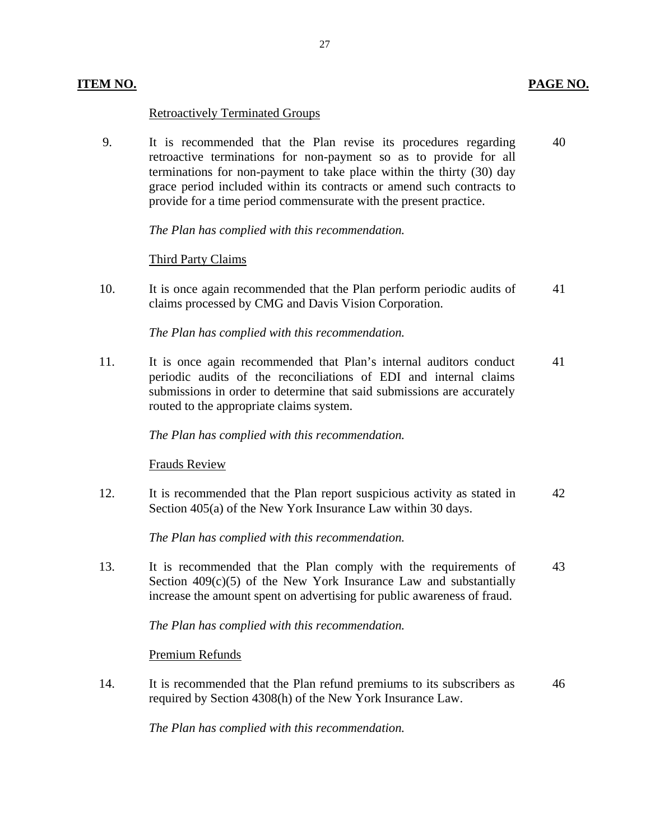#### **ITEM NO. PAGE NO.**

#### Retroactively Terminated Groups

9. It is recommended that the Plan revise its procedures regarding 40 retroactive terminations for non-payment so as to provide for all terminations for non-payment to take place within the thirty (30) day grace period included within its contracts or amend such contracts to provide for a time period commensurate with the present practice.

*The Plan has complied with this recommendation.* 

#### Third Party Claims

10. It is once again recommended that the Plan perform periodic audits of 41 claims processed by CMG and Davis Vision Corporation.

*The Plan has complied with this recommendation.* 

11. It is once again recommended that Plan's internal auditors conduct 41 periodic audits of the reconciliations of EDI and internal claims submissions in order to determine that said submissions are accurately routed to the appropriate claims system.

#### *The Plan has complied with this recommendation.*

**Frauds Review** 

12. It is recommended that the Plan report suspicious activity as stated in 42 Section 405(a) of the New York Insurance Law within 30 days.

*The Plan has complied with this recommendation.* 

13. It is recommended that the Plan comply with the requirements of 43 Section  $409(c)(5)$  of the New York Insurance Law and substantially increase the amount spent on advertising for public awareness of fraud.

*The Plan has complied with this recommendation.* 

Premium Refunds

14. It is recommended that the Plan refund premiums to its subscribers as  $46$ required by Section 4308(h) of the New York Insurance Law.

*The Plan has complied with this recommendation.* 

27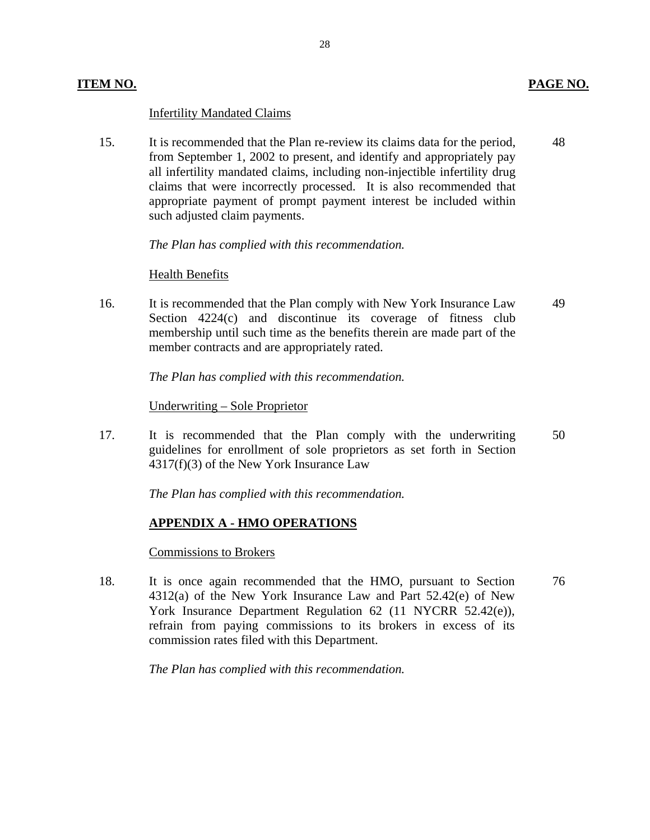#### **Infertility Mandated Claims**

15. It is recommended that the Plan re-review its claims data for the period, from September 1, 2002 to present, and identify and appropriately pay all infertility mandated claims, including non-injectible infertility drug claims that were incorrectly processed. It is also recommended that appropriate payment of prompt payment interest be included within such adjusted claim payments. 5. It is recommended that the Plan re-review its claims data for the period,<br>from September 1, 2002 to present, and identify and appropriately pay<br>all infertility mandated claims, including non-injectible infertility drug<br>

*The Plan has complied with this recommendation.* 

#### **Health Benefits**

16. It is recommended that the Plan comply with New York Insurance Law Section 4224(c) and discontinue its coverage of fitness club membership until such time as the benefits therein are made part of the member contracts and are appropriately rated. 49

*The Plan has complied with this recommendation.* 

#### <u> Underwriting – Sole Proprietor</u>

17. It is recommended that the Plan comply with the underwriting guidelines for enrollment of sole proprietors as set forth in Section 4317(f)(3) of the New York Insurance Law 50

*The Plan has complied with this recommendation.* 

#### **APPENDIX A - HMO OPERATIONS**

#### **Commissions to Brokers**

18. It is once again recommended that the HMO, pursuant to Section 4312(a) of the New York Insurance Law and Part 52.42(e) of New York Insurance Department Regulation 62 (11 NYCRR 52.42(e)), refrain from paying commissions to its brokers in excess of its commission rates filed with this Department. 76

*The Plan has complied with this recommendation.*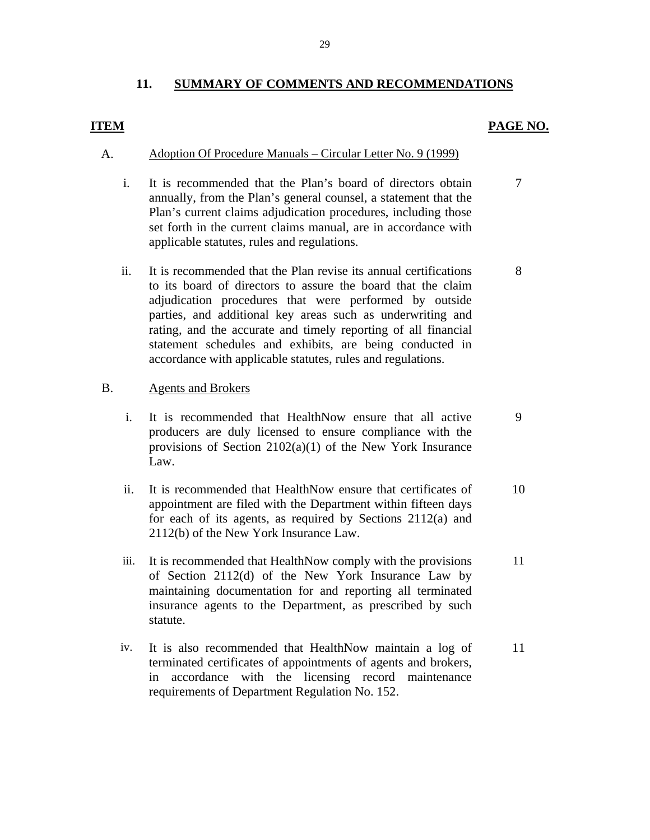#### **11. SUMMARY OF COMMENTS AND RECOMMENDATIONS**

#### <span id="page-30-0"></span>**ITEM PAGE NO.**

- A. Adoption Of Procedure Manuals Circular Letter No. 9 (1999)
	- i. It is recommended that the Plan's board of directors obtain 7 annually, from the Plan's general counsel, a statement that the Plan's current claims adjudication procedures, including those set forth in the current claims manual, are in accordance with applicable statutes, rules and regulations.
	- ii. It is recommended that the Plan revise its annual certifications 8 to its board of directors to assure the board that the claim adjudication procedures that were performed by outside parties, and additional key areas such as underwriting and rating, and the accurate and timely reporting of all financial statement schedules and exhibits, are being conducted in accordance with applicable statutes, rules and regulations.

#### **Agents and Brokers**

- B. Agents and Brokers<br>i. It is recommended that HealthNow ensure that all active 9 producers are duly licensed to ensure compliance with the provisions of Section 2102(a)(1) of the New York Insurance Law.
	- ii. It is recommended that HealthNow ensure that certificates of 10 appointment are filed with the Department within fifteen days for each of its agents, as required by Sections 2112(a) and 2112(b) of the New York Insurance Law.
	- iii. It is recommended that HealthNow comply with the provisions 11 of Section 2112(d) of the New York Insurance Law by maintaining documentation for and reporting all terminated insurance agents to the Department, as prescribed by such statute.
	- iv. It is also recommended that HealthNow maintain a log of 11 terminated certificates of appointments of agents and brokers, in accordance with the licensing record maintenance requirements of Department Regulation No. 152.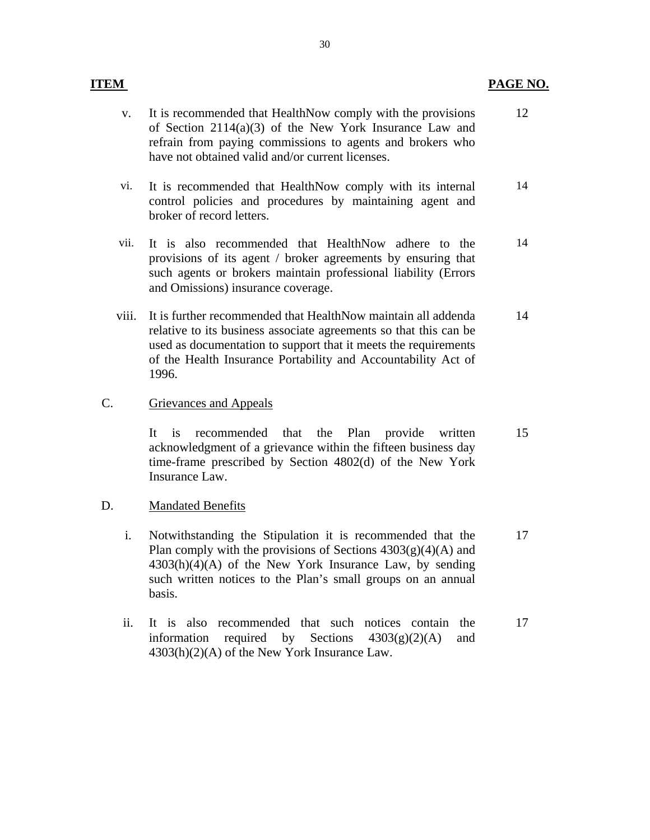#### **ITEM** PAGE NO.

14

14

- Grievances and Appeals **Mandated Benefits** v. It is recommended that HealthNow comply with the provisions of Section 2114(a)(3) of the New York Insurance Law and refrain from paying commissions to agents and brokers who have not obtained valid and/or current licenses. 12 vi. It is recommended that HealthNow comply with its internal control policies and procedures by maintaining agent and broker of record letters. vii. It is also recommended that HealthNow adhere to the provisions of its agent / broker agreements by ensuring that such agents or brokers maintain professional liability (Errors and Omissions) insurance coverage. viii. It is further recommended that HealthNow maintain all addenda relative to its business associate agreements so that this can be used as documentation to support that it meets the requirements of the Health Insurance Portability and Accountability Act of 1996. 14 C. Grievances and Appeals<br>It is recommended that the Plan provide written acknowledgment of a grievance within the fifteen business day time-frame prescribed by Section 4802(d) of the New York Insurance Law. 15
- D. <u>Mandated Benefits</u><br>i. Notwithstanding the Stipulation it is recommended that the Plan comply with the provisions of Sections  $4303(g)(4)(A)$  and  $4303(h)(4)(A)$  of the New York Insurance Law, by sending such written notices to the Plan's small groups on an annual basis. 17
	- ii. It is also recommended that such notices contain the information required by Sections  $4303(g)(2)(A)$  and 4303(h)(2)(A) of the New York Insurance Law. 17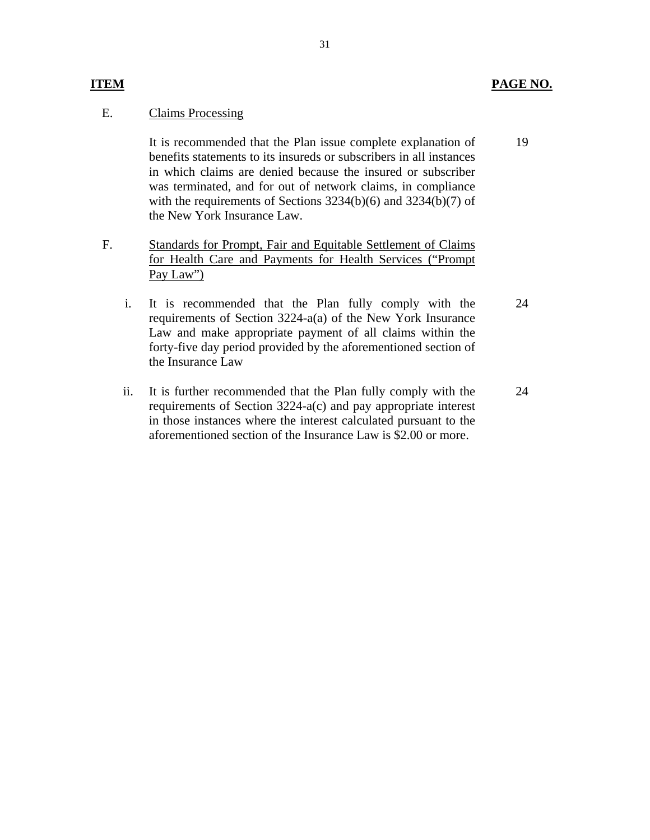#### **ITEM PAGE NO.**

19

#### **Claims Processing**

E. Claims Processing<br>It is recommended that the Plan issue complete explanation of benefits statements to its insureds or subscribers in all instances in which claims are denied because the insured or subscriber was terminated, and for out of network claims, in compliance with the requirements of Sections 3234(b)(6) and 3234(b)(7) of the New York Insurance Law.

- F. Standards for Prompt, Fair and Equitable Settlement of Claims for Health Care and Payments for Health Services ("Prompt Pay Law")
	- i. It is recommended that the Plan fully comply with the requirements of Section 3224-a(a) of the New York Insurance Law and make appropriate payment of all claims within the forty-five day period provided by the aforementioned section of the Insurance Law 24
	- ii. It is further recommended that the Plan fully comply with the requirements of Section 3224-a(c) and pay appropriate interest in those instances where the interest calculated pursuant to the aforementioned section of the Insurance Law is \$2.00 or more. 24